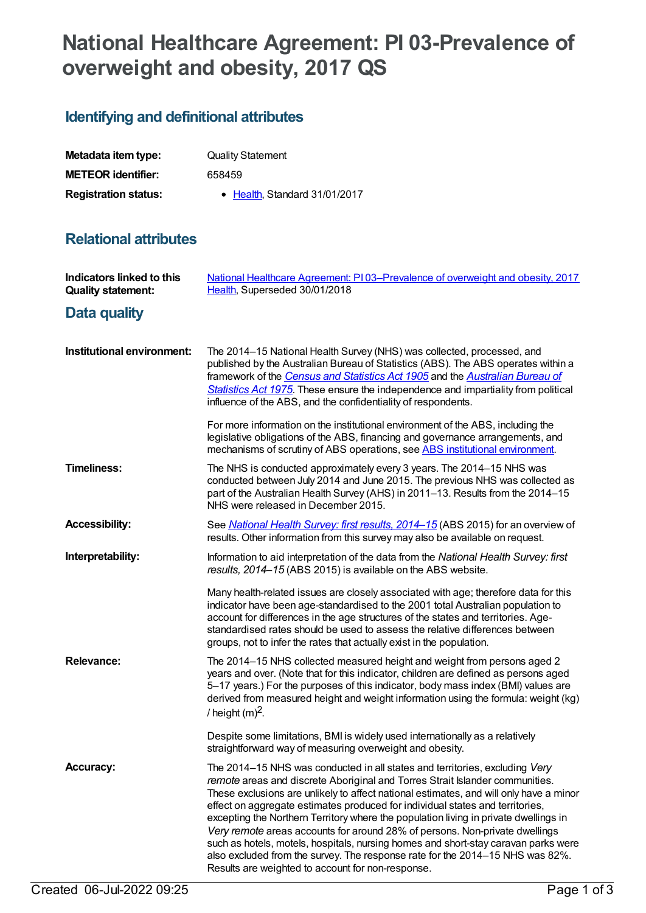# **National Healthcare Agreement: PI 03-Prevalence of overweight and obesity, 2017 QS**

# **Identifying and definitional attributes**

| Metadata item type:         | <b>Quality Statement</b>              |
|-----------------------------|---------------------------------------|
| <b>METEOR identifier:</b>   | 658459                                |
| <b>Registration status:</b> | $\bullet$ Health. Standard 31/01/2017 |

## **Relational attributes**

| Indicators linked to this<br><b>Quality statement:</b> | National Healthcare Agreement: PI03-Prevalence of overweight and obesity, 2017<br>Health, Superseded 30/01/2018                                                                                                                                                                                                                                                                                                                                                                                                                                                                                                                                                                                                                           |
|--------------------------------------------------------|-------------------------------------------------------------------------------------------------------------------------------------------------------------------------------------------------------------------------------------------------------------------------------------------------------------------------------------------------------------------------------------------------------------------------------------------------------------------------------------------------------------------------------------------------------------------------------------------------------------------------------------------------------------------------------------------------------------------------------------------|
| Data quality                                           |                                                                                                                                                                                                                                                                                                                                                                                                                                                                                                                                                                                                                                                                                                                                           |
| Institutional environment:                             | The 2014-15 National Health Survey (NHS) was collected, processed, and<br>published by the Australian Bureau of Statistics (ABS). The ABS operates within a<br>framework of the Census and Statistics Act 1905 and the Australian Bureau of<br>Statistics Act 1975. These ensure the independence and impartiality from political<br>influence of the ABS, and the confidentiality of respondents.                                                                                                                                                                                                                                                                                                                                        |
|                                                        | For more information on the institutional environment of the ABS, including the<br>legislative obligations of the ABS, financing and governance arrangements, and<br>mechanisms of scrutiny of ABS operations, see ABS institutional environment.                                                                                                                                                                                                                                                                                                                                                                                                                                                                                         |
| <b>Timeliness:</b>                                     | The NHS is conducted approximately every 3 years. The 2014-15 NHS was<br>conducted between July 2014 and June 2015. The previous NHS was collected as<br>part of the Australian Health Survey (AHS) in 2011-13. Results from the 2014-15<br>NHS were released in December 2015.                                                                                                                                                                                                                                                                                                                                                                                                                                                           |
| <b>Accessibility:</b>                                  | See <i>National Health Survey: first results, 2014-15</i> (ABS 2015) for an overview of<br>results. Other information from this survey may also be available on request.                                                                                                                                                                                                                                                                                                                                                                                                                                                                                                                                                                  |
| Interpretability:                                      | Information to aid interpretation of the data from the National Health Survey: first<br>results, 2014–15 (ABS 2015) is available on the ABS website.                                                                                                                                                                                                                                                                                                                                                                                                                                                                                                                                                                                      |
|                                                        | Many health-related issues are closely associated with age; therefore data for this<br>indicator have been age-standardised to the 2001 total Australian population to<br>account for differences in the age structures of the states and territories. Age-<br>standardised rates should be used to assess the relative differences between<br>groups, not to infer the rates that actually exist in the population.                                                                                                                                                                                                                                                                                                                      |
| <b>Relevance:</b>                                      | The 2014–15 NHS collected measured height and weight from persons aged 2<br>years and over. (Note that for this indicator, children are defined as persons aged<br>5-17 years.) For the purposes of this indicator, body mass index (BMI) values are<br>derived from measured height and weight information using the formula: weight (kg)<br>/ height $(m)^2$ .                                                                                                                                                                                                                                                                                                                                                                          |
|                                                        | Despite some limitations, BMI is widely used internationally as a relatively<br>straightforward way of measuring overweight and obesity.                                                                                                                                                                                                                                                                                                                                                                                                                                                                                                                                                                                                  |
| <b>Accuracy:</b>                                       | The 2014-15 NHS was conducted in all states and territories, excluding Very<br>remote areas and discrete Aboriginal and Torres Strait Islander communities.<br>These exclusions are unlikely to affect national estimates, and will only have a minor<br>effect on aggregate estimates produced for individual states and territories,<br>excepting the Northern Territory where the population living in private dwellings in<br>Very remote areas accounts for around 28% of persons. Non-private dwellings<br>such as hotels, motels, hospitals, nursing homes and short-stay caravan parks were<br>also excluded from the survey. The response rate for the 2014-15 NHS was 82%.<br>Results are weighted to account for non-response. |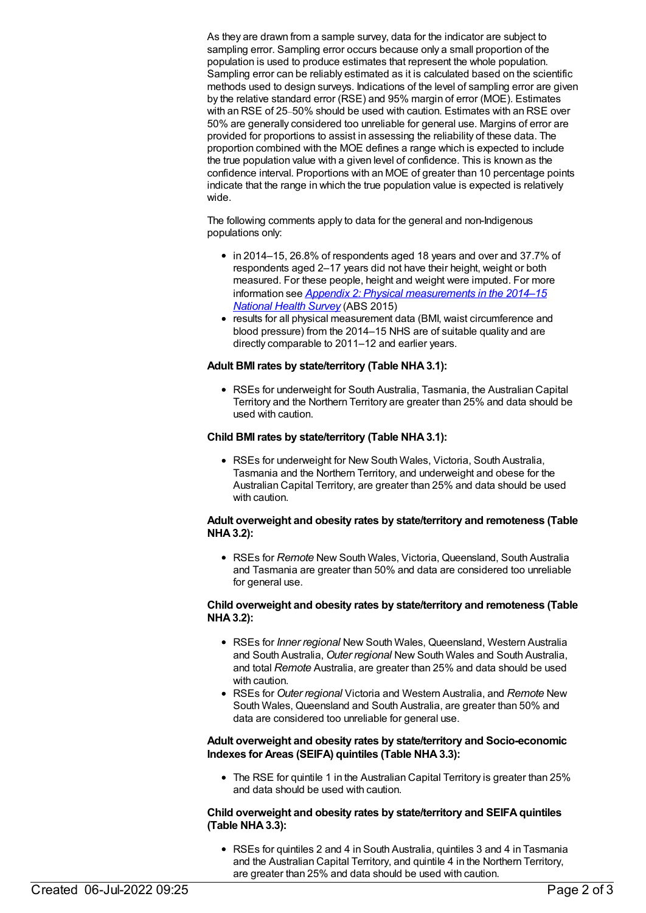As they are drawn from a sample survey, data for the indicator are subject to sampling error. Sampling error occurs because only a small proportion of the population is used to produce estimates that represent the whole population. Sampling error can be reliably estimated as it is calculated based on the scientific methods used to design surveys. Indications of the level of sampling error are given by the relative standard error (RSE) and 95% margin of error (MOE). Estimates with an RSE of 25–50% should be used with caution. Estimates with an RSE over 50% are generally considered too unreliable for general use. Margins of error are provided for proportions to assist in assessing the reliability of these data. The proportion combined with the MOE defines a range which is expected to include the true population value with a given level of confidence. This is known as the confidence interval. Proportions with an MOE of greater than 10 percentage points indicate that the range in which the true population value is expected is relatively wide.

The following comments apply to data for the general and non-Indigenous populations only:

- in 2014–15, 26.8% of respondents aged 18 years and over and 37.7% of respondents aged 2–17 years did not have their height, weight or both measured. For these people, height and weight were imputed. For more information see *Appendix 2: Physical [measurements](http://www.abs.gov.au/AUSSTATS/abs@.nsf/Latestproducts/4364.0.55.001Appendix22014-15?opendocument&tabname=Notes&prodno=4364.0.55.001&issue=2014-15&num=&view=) in the 2014–15 National Health Survey* (ABS 2015)
- results for all physical measurement data (BMI, waist circumference and blood pressure) from the 2014–15 NHS are of suitable quality and are directly comparable to 2011–12 and earlier years.

#### **Adult BMI rates by state/territory (Table NHA3.1):**

RSEs for underweight for South Australia, Tasmania, the Australian Capital Territory and the Northern Territory are greater than 25% and data should be used with caution.

#### **Child BMI rates by state/territory (Table NHA3.1):**

RSEs for underweight for New South Wales, Victoria, South Australia, Tasmania and the Northern Territory, and underweight and obese for the Australian Capital Territory, are greater than 25% and data should be used with caution.

#### **Adult overweight and obesity rates by state/territory and remoteness (Table NHA3.2):**

RSEs for *Remote* New South Wales, Victoria, Queensland, South Australia and Tasmania are greater than 50% and data are considered too unreliable for general use.

#### **Child overweight and obesity rates by state/territory and remoteness (Table NHA3.2):**

- RSEs for *Inner regional* New South Wales, Queensland, Western Australia and South Australia, *Outer regional* New South Wales and South Australia, and total *Remote* Australia, are greater than 25% and data should be used with caution.
- RSEs for *Outer regional* Victoria and Western Australia, and *Remote* New South Wales, Queensland and South Australia, are greater than 50% and data are considered too unreliable for general use.

#### **Adult overweight and obesity rates by state/territory and Socio-economic Indexes for Areas (SEIFA) quintiles (Table NHA3.3):**

• The RSE for quintile 1 in the Australian Capital Territory is greater than 25% and data should be used with caution.

#### **Child overweight and obesity rates by state/territory and SEIFAquintiles (Table NHA3.3):**

RSEs for quintiles 2 and 4 in South Australia, quintiles 3 and 4 in Tasmania and the Australian Capital Territory, and quintile 4 in the Northern Territory, are greater than 25% and data should be used with caution.